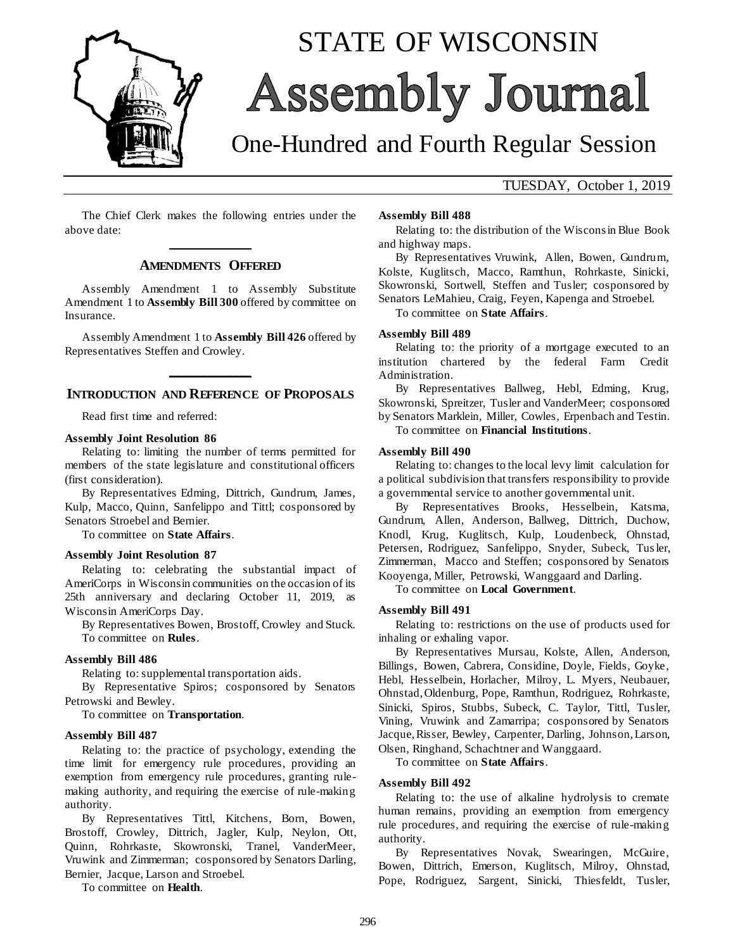

# STATE OF WISCONSIN **Assembly Journal**

## One-Hundred and Fourth Regular Session

### TUESDAY, October 1, 2019

The Chief Clerk makes the following entries under the above date: **\_\_\_\_\_\_\_\_\_\_\_\_\_**

### **AMENDMENTS OFFERED**

Assembly Amendment 1 to Assembly Substitute Amendment 1 to **Assembly Bill 300** offered by committee on Insurance.

Assembly Amendment 1 to **Assembly Bill 426** offered by Representatives Steffen and Crowley.

### **\_\_\_\_\_\_\_\_\_\_\_\_\_ INTRODUCTION AND REFERENCE OF PROPOSALS**

Read first time and referred:

### **Assembly Joint Resolution 86**

Relating to: limiting the number of terms permitted for members of the state legislature and constitutional officers (first consideration).

By Representatives Edming, Dittrich, Gundrum, James, Kulp, Macco, Quinn, Sanfelippo and Tittl; cosponsored by Senators Stroebel and Bernier.

To committee on **State Affairs**.

#### **Assembly Joint Resolution 87**

Relating to: celebrating the substantial impact of AmeriCorps in Wisconsin communities on the occasion of its 25th anniversary and declaring October 11, 2019, as Wisconsin AmeriCorps Day.

By Representatives Bowen, Brostoff, Crowley and Stuck. To committee on **Rules**.

### **Assembly Bill 486**

Relating to: supplemental transportation aids.

By Representative Spiros; cosponsored by Senators Petrowski and Bewley.

To committee on **Transportation**.

#### **Assembly Bill 487**

Relating to: the practice of psychology, extending the time limit for emergency rule procedures, providing an exemption from emergency rule procedures, granting rulemaking authority, and requiring the exercise of rule-making authority.

By Representatives Tittl, Kitchens, Born, Bowen, Brostoff, Crowley, Dittrich, Jagler, Kulp, Neylon, Ott, Quinn, Rohrkaste, Skowronski, Tranel, VanderMeer, Vruwink and Zimmerman; cosponsored by Senators Darling, Bernier, Jacque, Larson and Stroebel.

To committee on **Health**.

#### **Assembly Bill 488**

Relating to: the distribution of the Wisconsin Blue Book and highway maps.

By Representatives Vruwink, Allen, Bowen, Gundrum, Kolste, Kuglitsch, Macco, Ramthun, Rohrkaste, Sinicki, Skowronski, Sortwell, Steffen and Tusler; cosponsored by Senators LeMahieu, Craig, Feyen, Kapenga and Stroebel.

To committee on **State Affairs**.

### **Assembly Bill 489**

Relating to: the priority of a mortgage executed to an institution chartered by the federal Farm Credit Administration.

By Representatives Ballweg, Hebl, Edming, Krug, Skowronski, Spreitzer, Tusler and VanderMeer; cosponsored by Senators Marklein, Miller, Cowles, Erpenbach and Testin.

To committee on **Financial Institutions**.

#### **Assembly Bill 490**

Relating to: changes to the local levy limit calculation for a political subdivision that transfers responsibility to provide a governmental service to another governmental unit.

By Representatives Brooks, Hesselbein, Katsma, Gundrum, Allen, Anderson, Ballweg, Dittrich, Duchow, Knodl, Krug, Kuglitsch, Kulp, Loudenbeck, Ohnstad, Petersen, Rodriguez, Sanfelippo, Snyder, Subeck, Tusler, Zimmerman, Macco and Steffen; cosponsored by Senators Kooyenga, Miller, Petrowski, Wanggaard and Darling.

To committee on **Local Government**.

### **Assembly Bill 491**

Relating to: restrictions on the use of products used for inhaling or exhaling vapor.

By Representatives Mursau, Kolste, Allen, Anderson, Billings, Bowen, Cabrera, Considine, Doyle, Fields, Goyke, Hebl, Hesselbein, Horlacher, Milroy, L. Myers, Neubauer, Ohnstad, Oldenburg, Pope, Ramthun, Rodriguez, Rohrkaste, Sinicki, Spiros, Stubbs, Subeck, C. Taylor, Tittl, Tusler, Vining, Vruwink and Zamarripa; cosponsored by Senators Jacque, Risser, Bewley, Carpenter, Darling, Johnson, Larson, Olsen, Ringhand, Schachtner and Wanggaard.

To committee on **State Affairs**.

#### **Assembly Bill 492**

Relating to: the use of alkaline hydrolysis to cremate human remains, providing an exemption from emergency rule procedures, and requiring the exercise of rule-making authority.

By Representatives Novak, Swearingen, McGuire, Bowen, Dittrich, Emerson, Kuglitsch, Milroy, Ohnstad, Pope, Rodriguez, Sargent, Sinicki, Thiesfeldt, Tusler,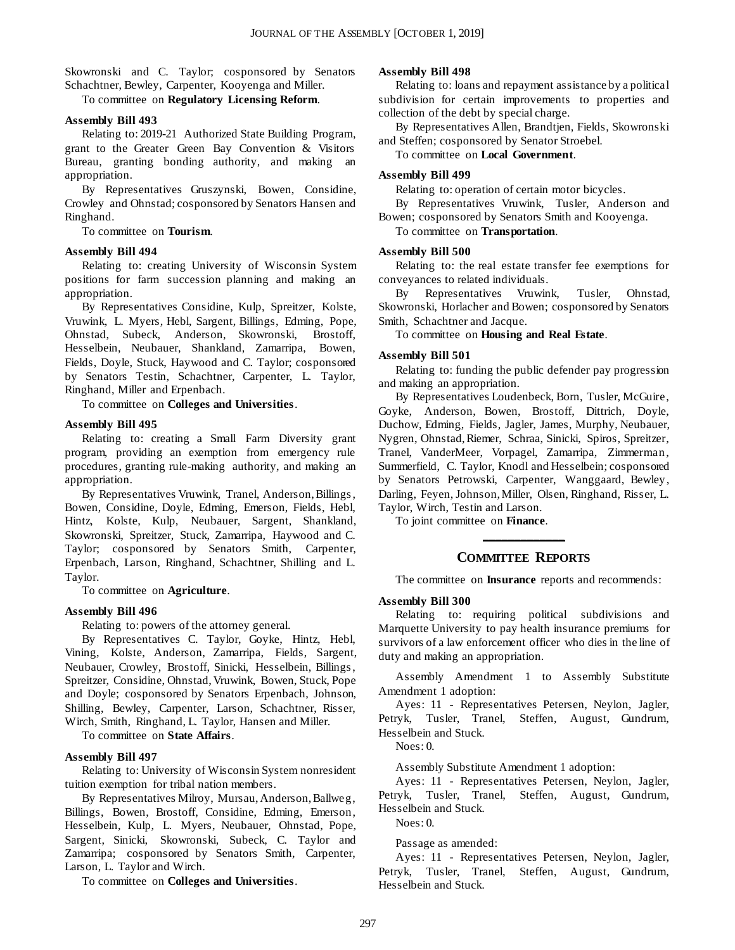Skowronski and C. Taylor; cosponsored by Senators Schachtner, Bewley, Carpenter, Kooyenga and Miller.

To committee on **Regulatory Licensing Reform**.

### **Assembly Bill 493**

Relating to: 2019-21 Authorized State Building Program, grant to the Greater Green Bay Convention & Visitors Bureau, granting bonding authority, and making an appropriation.

By Representatives Gruszynski, Bowen, Considine, Crowley and Ohnstad; cosponsored by Senators Hansen and Ringhand.

To committee on **Tourism**.

### **Assembly Bill 494**

Relating to: creating University of Wisconsin System positions for farm succession planning and making an appropriation.

By Representatives Considine, Kulp, Spreitzer, Kolste, Vruwink, L. Myers, Hebl, Sargent, Billings, Edming, Pope, Ohnstad, Subeck, Anderson, Skowronski, Brostoff, Hesselbein, Neubauer, Shankland, Zamarripa, Bowen, Fields, Doyle, Stuck, Haywood and C. Taylor; cosponsored by Senators Testin, Schachtner, Carpenter, L. Taylor, Ringhand, Miller and Erpenbach.

To committee on **Colleges and Universities**.

### **Assembly Bill 495**

Relating to: creating a Small Farm Diversity grant program, providing an exemption from emergency rule procedures, granting rule-making authority, and making an appropriation.

By Representatives Vruwink, Tranel, Anderson, Billings , Bowen, Considine, Doyle, Edming, Emerson, Fields, Hebl, Hintz, Kolste, Kulp, Neubauer, Sargent, Shankland, Skowronski, Spreitzer, Stuck, Zamarripa, Haywood and C. Taylor; cosponsored by Senators Smith, Carpenter, Erpenbach, Larson, Ringhand, Schachtner, Shilling and L. Taylor.

To committee on **Agriculture**.

### **Assembly Bill 496**

Relating to: powers of the attorney general.

By Representatives C. Taylor, Goyke, Hintz, Hebl, Vining, Kolste, Anderson, Zamarripa, Fields, Sargent, Neubauer, Crowley, Brostoff, Sinicki, Hesselbein, Billings , Spreitzer, Considine, Ohnstad, Vruwink, Bowen, Stuck, Pope and Doyle; cosponsored by Senators Erpenbach, Johnson, Shilling, Bewley, Carpenter, Larson, Schachtner, Risser, Wirch, Smith, Ringhand, L. Taylor, Hansen and Miller.

To committee on **State Affairs**.

### **Assembly Bill 497**

Relating to: University of Wisconsin System nonresident tuition exemption for tribal nation members.

By Representatives Milroy, Mursau, Anderson, Ballweg, Billings, Bowen, Brostoff, Considine, Edming, Emerson, Hesselbein, Kulp, L. Myers, Neubauer, Ohnstad, Pope, Sargent, Sinicki, Skowronski, Subeck, C. Taylor and Zamarripa; cosponsored by Senators Smith, Carpenter, Larson, L. Taylor and Wirch.

To committee on **Colleges and Universities**.

### **Assembly Bill 498**

Relating to: loans and repayment assistance by a political subdivision for certain improvements to properties and collection of the debt by special charge.

By Representatives Allen, Brandtjen, Fields, Skowronski and Steffen; cosponsored by Senator Stroebel.

To committee on **Local Government**.

### **Assembly Bill 499**

Relating to: operation of certain motor bicycles.

By Representatives Vruwink, Tusler, Anderson and Bowen; cosponsored by Senators Smith and Kooyenga.

To committee on **Transportation**.

### **Assembly Bill 500**

Relating to: the real estate transfer fee exemptions for conveyances to related individuals.

By Representatives Vruwink, Tusler, Ohnstad, Skowronski, Horlacher and Bowen; cosponsored by Senators Smith, Schachtner and Jacque.

To committee on **Housing and Real Estate**.

### **Assembly Bill 501**

Relating to: funding the public defender pay progression and making an appropriation.

By Representatives Loudenbeck, Born, Tusler, McGuire, Goyke, Anderson, Bowen, Brostoff, Dittrich, Doyle, Duchow, Edming, Fields, Jagler, James, Murphy, Neubauer, Nygren, Ohnstad, Riemer, Schraa, Sinicki, Spiros, Spreitzer, Tranel, VanderMeer, Vorpagel, Zamarripa, Zimmerman, Summerfield, C. Taylor, Knodl and Hesselbein; cosponsored by Senators Petrowski, Carpenter, Wanggaard, Bewley, Darling, Feyen, Johnson, Miller, Olsen, Ringhand, Risser, L. Taylor, Wirch, Testin and Larson.

To joint committee on **Finance**.

### **\_\_\_\_\_\_\_\_\_\_\_\_\_ COMMITTEE REPORTS**

The committee on **Insurance** reports and recommends:

### **Assembly Bill 300**

Relating to: requiring political subdivisions and Marquette University to pay health insurance premiums for survivors of a law enforcement officer who dies in the line of duty and making an appropriation.

Assembly Amendment 1 to Assembly Substitute Amendment 1 adoption:

Ayes: 11 - Representatives Petersen, Neylon, Jagler, Petryk, Tusler, Tranel, Steffen, August, Gundrum, Hesselbein and Stuck.

Noes: 0.

Assembly Substitute Amendment 1 adoption:

Ayes: 11 - Representatives Petersen, Neylon, Jagler, Petryk, Tusler, Tranel, Steffen, August, Gundrum, Hesselbein and Stuck.

Noes: 0.

Passage as amended:

Ayes: 11 - Representatives Petersen, Neylon, Jagler, Petryk, Tusler, Tranel, Steffen, August, Gundrum, Hesselbein and Stuck.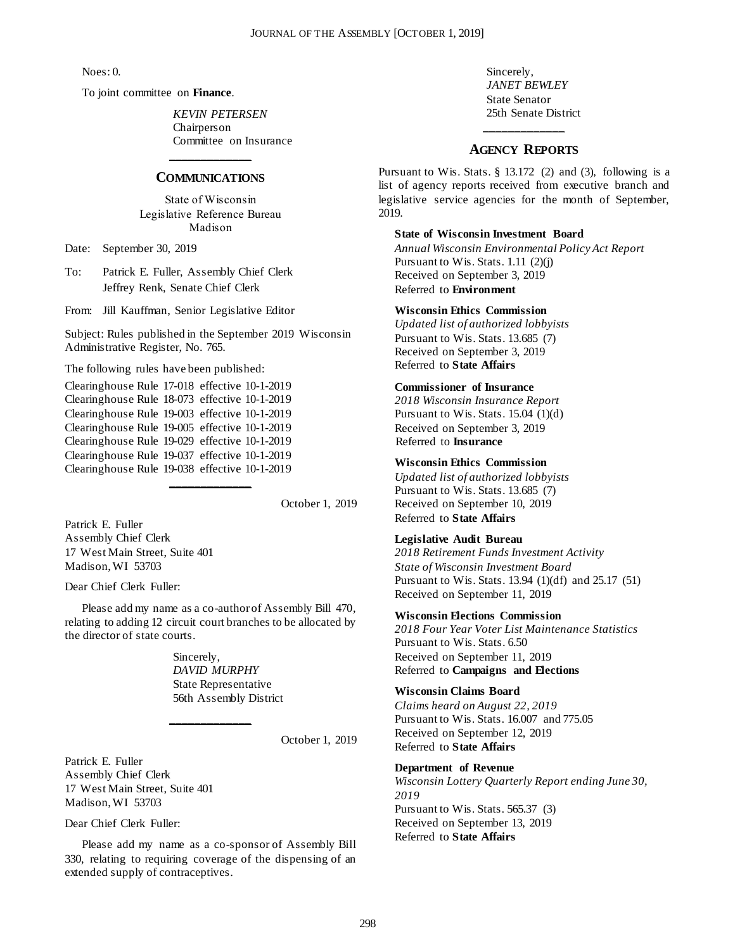Noes: 0.

To joint committee on **Finance**.

*KEVIN PETERSEN* Chairperson Committee on Insurance

### **\_\_\_\_\_\_\_\_\_\_\_\_\_ COMMUNICATIONS**

State of Wisconsin Legislative Reference Bureau Madison

Date: September 30, 2019

To: Patrick E. Fuller, Assembly Chief Clerk Jeffrey Renk, Senate Chief Clerk

From: Jill Kauffman, Senior Legislative Editor

Subject: Rules published in the September 2019 Wisconsin Administrative Register, No. 765.

The following rules have been published:

Clearinghouse Rule 17-018 effective 10-1-2019 Clearinghouse Rule 18-073 effective 10-1-2019 Clearinghouse Rule 19-003 effective 10-1-2019 Clearinghouse Rule 19-005 effective 10-1-2019 Clearinghouse Rule 19-029 effective 10-1-2019 Clearinghouse Rule 19-037 effective 10-1-2019 Clearinghouse Rule 19-038 effective 10-1-2019

October 1, 2019

Patrick E. Fuller Assembly Chief Clerk 17 West Main Street, Suite 401 Madison, WI 53703

Dear Chief Clerk Fuller:

Please add my name as a co-author of Assembly Bill 470, relating to adding 12 circuit court branches to be allocated by the director of state courts.

**\_\_\_\_\_\_\_\_\_\_\_\_\_**

**\_\_\_\_\_\_\_\_\_\_\_\_\_**

Sincerely, *DAVID MURPHY* State Representative 56th Assembly District

October 1, 2019

Patrick E. Fuller Assembly Chief Clerk 17 West Main Street, Suite 401 Madison, WI 53703

Dear Chief Clerk Fuller:

Please add my name as a co-sponsor of Assembly Bill 330, relating to requiring coverage of the dispensing of an extended supply of contraceptives.

Sincerely, *JANET BEWLEY* State Senator 25th Senate District

### **\_\_\_\_\_\_\_\_\_\_\_\_\_ AGENCY REPORTS**

Pursuant to Wis. Stats. § 13.172 (2) and (3), following is a list of agency reports received from executive branch and legislative service agencies for the month of September, 2019.

### **State of Wisconsin Investment Board**

*Annual Wisconsin Environmental Policy Act Report* Pursuant to Wis. Stats. 1.11 (2)(j) Received on September 3, 2019 Referred to **Environment** 

### **Wisconsin Ethics Commission**

*Updated list of authorized lobbyists* Pursuant to Wis. Stats. 13.685 (7) Received on September 3, 2019 Referred to **State Affairs**

### **Commissioner of Insurance**

*2018 Wisconsin Insurance Report* Pursuant to Wis. Stats. 15.04 (1)(d) Received on September 3, 2019 Referred to **Insurance**

### **Wisconsin Ethics Commission**

*Updated list of authorized lobbyists* Pursuant to Wis. Stats. 13.685 (7) Received on September 10, 2019 Referred to **State Affairs**

### **Legislative Audit Bureau**

*2018 Retirement Funds Investment Activity State of Wisconsin Investment Board* Pursuant to Wis. Stats. 13.94 (1)(df) and 25.17 (51) Received on September 11, 2019

### **Wisconsin Elections Commission**

*2018 Four Year Voter List Maintenance Statistics* Pursuant to Wis. Stats. 6.50 Received on September 11, 2019 Referred to **Campaigns and Elections**

### **Wisconsin Claims Board**

*Claims heard on August 22, 2019* Pursuant to Wis. Stats. 16.007 and 775.05 Received on September 12, 2019 Referred to **State Affairs** 

### **Department of Revenue**

*Wisconsin Lottery Quarterly Report ending June 30, 2019* Pursuant to Wis. Stats. 565.37 (3) Received on September 13, 2019 Referred to **State Affairs**